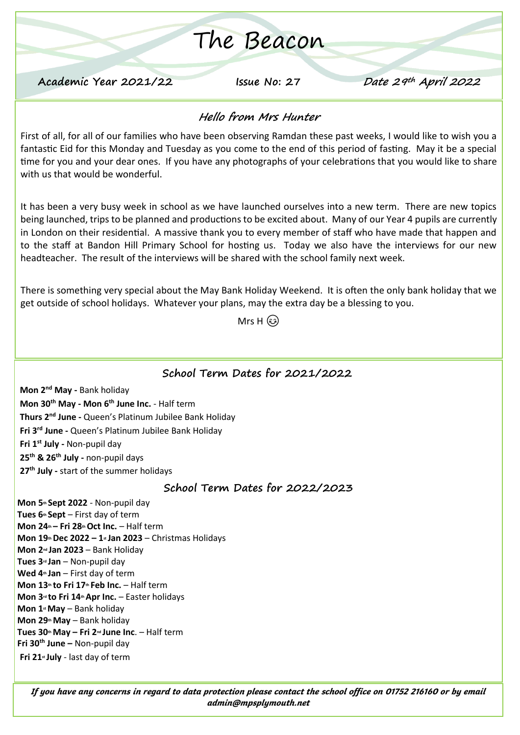# The Beacon

**Academic Year 2021/22 Issue No: 27 Date 29th April 2022**

### **Hello from Mrs Hunter**

First of all, for all of our families who have been observing Ramdan these past weeks, I would like to wish you a fantastic Eid for this Monday and Tuesday as you come to the end of this period of fasting. May it be a special time for you and your dear ones. If you have any photographs of your celebrations that you would like to share with us that would be wonderful.

It has been a very busy week in school as we have launched ourselves into a new term. There are new topics being launched, trips to be planned and productions to be excited about. Many of our Year 4 pupils are currently in London on their residential. A massive thank you to every member of staff who have made that happen and to the staff at Bandon Hill Primary School for hosting us. Today we also have the interviews for our new headteacher. The result of the interviews will be shared with the school family next week.

There is something very special about the May Bank Holiday Weekend. It is often the only bank holiday that we get outside of school holidays. Whatever your plans, may the extra day be a blessing to you.

Mrs H (အါ

#### **School Term Dates for 2021/2022**

**Mon 2nd May -** Bank holiday **Mon 30th May - Mon 6th June Inc.** - Half term **Thurs 2 nd June -** Queen's Platinum Jubilee Bank Holiday **Fri 3rd June -** Queen's Platinum Jubilee Bank Holiday **Fri 1st July -** Non-pupil day **25th & 26 th July -** non-pupil days **27th July -** start of the summer holidays

#### **School Term Dates for 2022/2023**

**Mon 5th Sept 2022** - Non-pupil day **Tues 6th Sept** – First day of term **Mon 24th – Fri 28thOct Inc.** – Half term **Mon 19thDec 2022 – 1st Jan 2023** – Christmas Holidays **Mon 2nd Jan 2023** – Bank Holiday **Tues 3rd Jan** – Non-pupil day **Wed 4th Jan** – First day of term **Mon 13th to Fri 17th Feb Inc.** – Half term **Mon 3rd to Fri 14thApr Inc.** – Easter holidays **Mon 1stMay** – Bank holiday **Mon 29thMay** – Bank holiday **Tues 30thMay – Fri 2nd June Inc**. – Half term **Fri 30th June –** Non-pupil day **Fri 21st July** - last day of term

*If you have any concerns in regard to data protection please contact the school office on 01752 216160 or by email admin@mpsplymouth.net*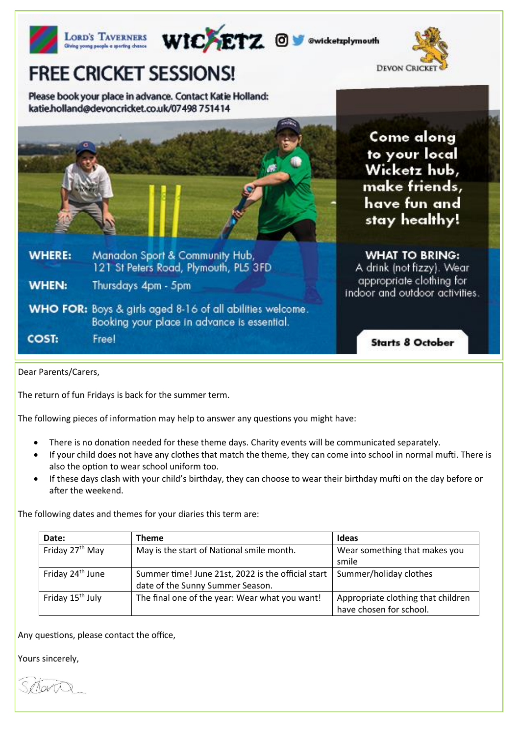|               | WICAETZ @ W @wicketzplymouth<br>LORD'S TAVERNERS<br>Giving young people a sporting chance                       |                                                                                               |
|---------------|-----------------------------------------------------------------------------------------------------------------|-----------------------------------------------------------------------------------------------|
|               | <b>FREE CRICKET SESSIONS!</b>                                                                                   | <b>DEVON CRIC</b>                                                                             |
|               | Please book your place in advance. Contact Katie Holland:<br>katie.holland@devoncricket.co.uk/07498 751414      |                                                                                               |
|               |                                                                                                                 | Come along<br>to your local<br>Wicketz hub,<br>make friends,<br>have fun and<br>stay healthy! |
| <b>WHERE:</b> | Manadon Sport & Community Hub,<br>121 St Peters Road, Plymouth, PL5 3FD                                         | <b>WHAT TO BRING:</b><br>A drink (not fizzy). Wear                                            |
| <b>WHEN:</b>  | Thursdays 4pm - 5pm                                                                                             | appropriate clothing for<br>indoor and outdoor activities.                                    |
|               | <b>WHO FOR:</b> Boys & girls aged 8-16 of all abilities welcome.<br>Booking your place in advance is essential. |                                                                                               |
| <b>COST:</b>  | Free!                                                                                                           | <b>Starts 8 October</b>                                                                       |

Dear Parents/Carers,

The return of fun Fridays is back for the summer term.

The following pieces of information may help to answer any questions you might have:

- There is no donation needed for these theme days. Charity events will be communicated separately.
- If your child does not have any clothes that match the theme, they can come into school in normal mufti. There is also the option to wear school uniform too.
- If these days clash with your child's birthday, they can choose to wear their birthday mufti on the day before or after the weekend.

The following dates and themes for your diaries this term are:

| Date:                        | <b>Theme</b>                                                                           | Ideas                                                         |
|------------------------------|----------------------------------------------------------------------------------------|---------------------------------------------------------------|
| Friday 27 <sup>th</sup> May  | May is the start of National smile month.                                              | Wear something that makes you<br>smile                        |
| Friday 24 <sup>th</sup> June | Summer time! June 21st, 2022 is the official start<br>date of the Sunny Summer Season. | Summer/holiday clothes                                        |
| Friday 15 <sup>th</sup> July | The final one of the year: Wear what you want!                                         | Appropriate clothing that children<br>have chosen for school. |

Any questions, please contact the office,

Yours sincerely,

Schart

Mr S Thomson State State State State State State State State State State State State State State State State S<br>Mr S Thomas State State State State State State State State State State State State State State State State St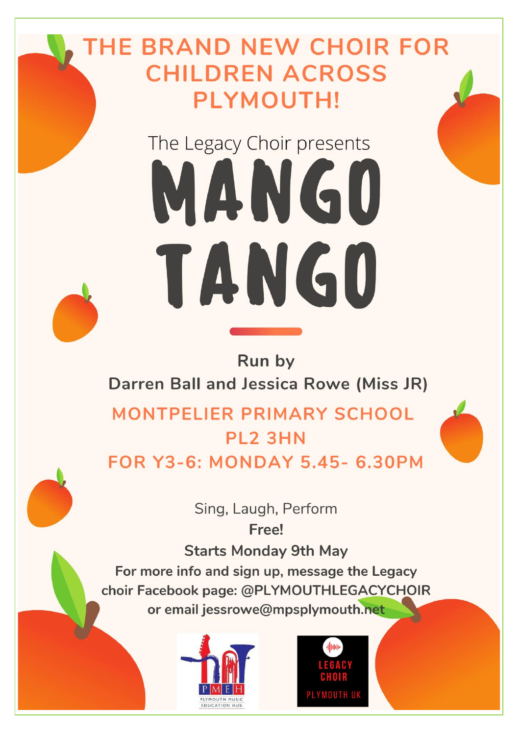# **HE BRAND NEW CHOIR FOR CHILDREN ACROSS** PLYMOUTH!

# The Legacy Choir presents MANG0 TANG0

## Run by Darren Ball and Jessica Rowe (Miss JR)

**MONTPELIER PRIMARY SCHOOL** PL<sub>2</sub> 3HN **FOR Y3-6: MONDAY 5.45- 6.30PM** 



**Starts Monday 9th May** For more info and sign up, message the Legacy choir Facebook page: @PLYMOUTHLEGACYCHOIR or email jessrowe@mpsplymouth.net